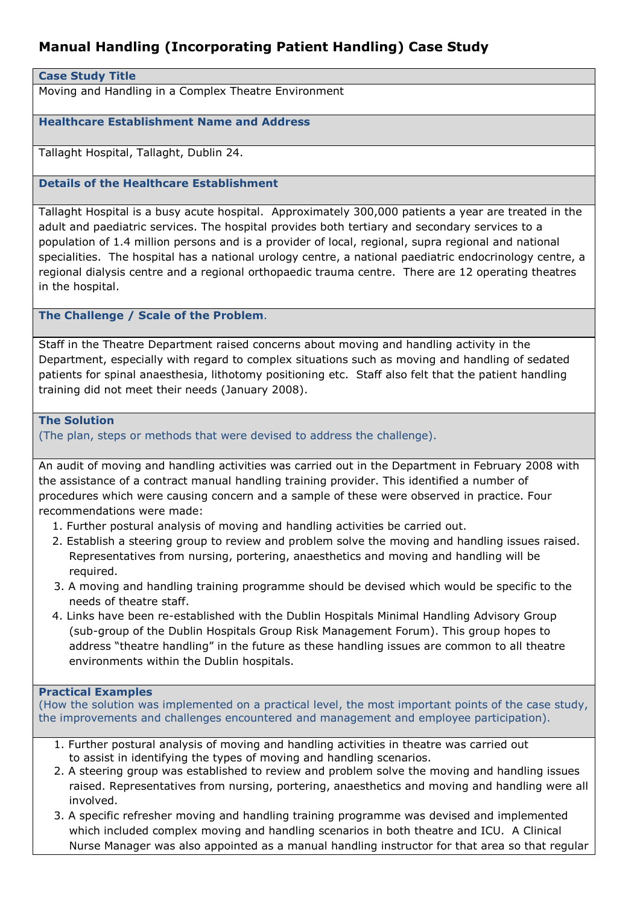# **Manual Handling (Incorporating Patient Handling) Case Study**

### **Case Study Title**

Moving and Handling in a Complex Theatre Environment

### **Healthcare Establishment Name and Address**

Tallaght Hospital, Tallaght, Dublin 24.

## **Details of the Healthcare Establishment**

Tallaght Hospital is a busy acute hospital. Approximately 300,000 patients a year are treated in the adult and paediatric services. The hospital provides both tertiary and secondary services to a population of 1.4 million persons and is a provider of local, regional, supra regional and national specialities. The hospital has a national urology centre, a national paediatric endocrinology centre, a regional dialysis centre and a regional orthopaedic trauma centre. There are 12 operating theatres in the hospital.

### **The Challenge / Scale of the Problem**.

Staff in the Theatre Department raised concerns about moving and handling activity in the Department, especially with regard to complex situations such as moving and handling of sedated patients for spinal anaesthesia, lithotomy positioning etc. Staff also felt that the patient handling training did not meet their needs (January 2008).

#### **The Solution**

(The plan, steps or methods that were devised to address the challenge).

An audit of moving and handling activities was carried out in the Department in February 2008 with the assistance of a contract manual handling training provider. This identified a number of procedures which were causing concern and a sample of these were observed in practice. Four recommendations were made:

- 1. Further postural analysis of moving and handling activities be carried out.
- 2. Establish a steering group to review and problem solve the moving and handling issues raised. Representatives from nursing, portering, anaesthetics and moving and handling will be required.
- 3. A moving and handling training programme should be devised which would be specific to the needs of theatre staff.
- 4. Links have been re-established with the Dublin Hospitals Minimal Handling Advisory Group (sub-group of the Dublin Hospitals Group Risk Management Forum). This group hopes to address "theatre handling" in the future as these handling issues are common to all theatre environments within the Dublin hospitals.

### **Practical Examples**

(How the solution was implemented on a practical level, the most important points of the case study, the improvements and challenges encountered and management and employee participation).

- 1. Further postural analysis of moving and handling activities in theatre was carried out to assist in identifying the types of moving and handling scenarios.
- 2. A steering group was established to review and problem solve the moving and handling issues raised. Representatives from nursing, portering, anaesthetics and moving and handling were all involved.
- 3. A specific refresher moving and handling training programme was devised and implemented which included complex moving and handling scenarios in both theatre and ICU. A Clinical Nurse Manager was also appointed as a manual handling instructor for that area so that regular